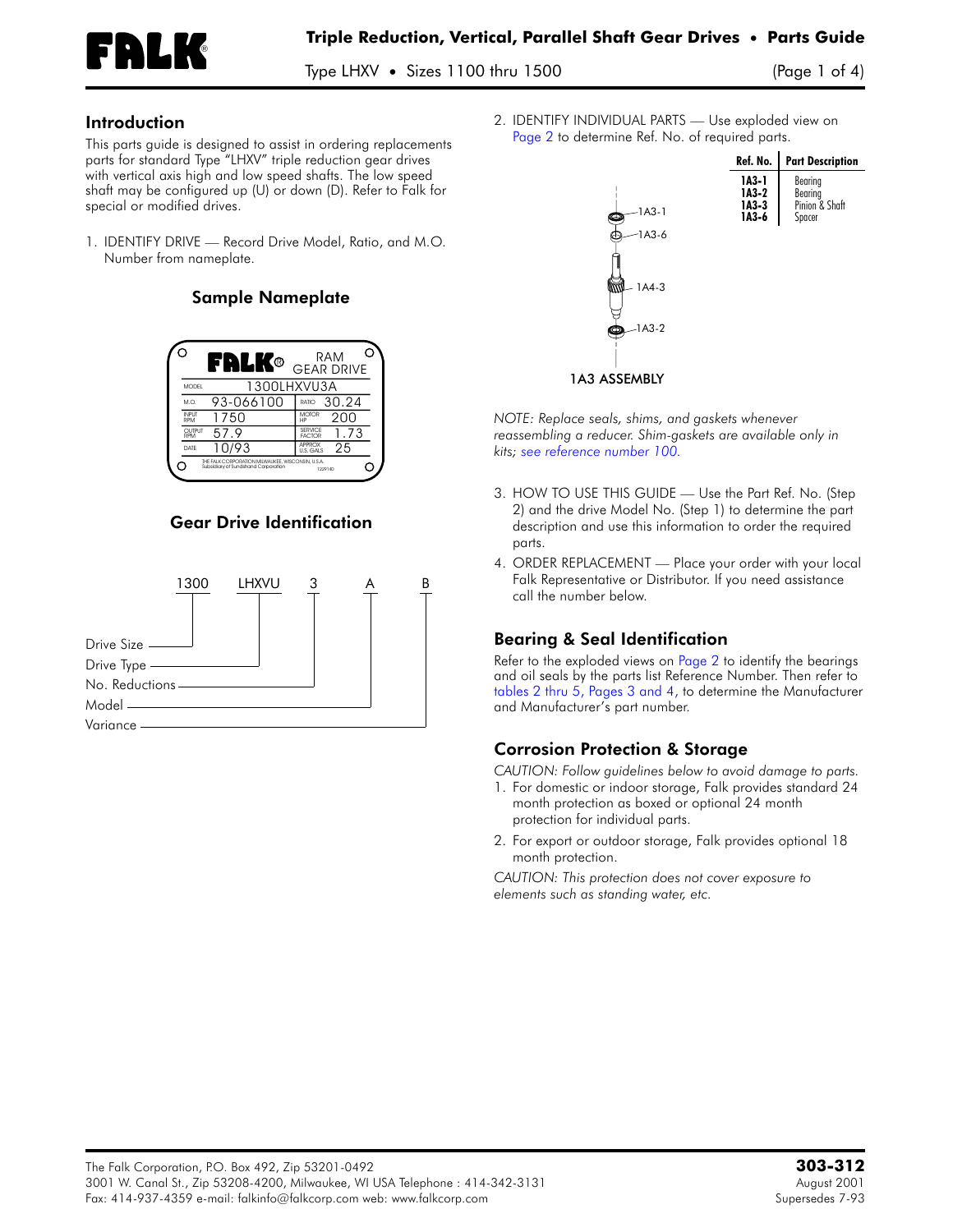

Type LHXV • Sizes 1100 thru 1500 (Page 1 of 4)

#### Introduction

This parts guide is designed to assist in ordering replacements parts for standard Type "LHXV" triple reduction gear drives with vertical axis high and low speed shafts. The low speed shaft may be configured up (U) or down (D). Refer to Falk for special or modified drives.

1. **IDENTIFY DRIVE —** Record Drive Model, Ratio, and M.O. Number from nameplate.

#### Sample Nameplate



# Gear Drive Identification



2. **IDENTIFY INDIVIDUAL PARTS —** Use exploded view on [Page](#page-1-0) 2 to determine Ref. No. of required parts.



*NOTE: Replace seals, shims, and gaskets whenever reassembling a reducer. Shim-gaskets are available only in kits; see [reference](#page-2-0) number 100.*

- 3. **HOW TO USE THIS GUIDE —** Use the Part Ref. No. (Step 2) and the drive Model No. (Step 1) to determine the part description and use this information to order the required parts.
- 4. **ORDER REPLACEMENT —** Place your order with your local Falk Representative or Distributor. If you need assistance call the number below.

## Bearing & Seal Identification

Refer to the exploded views on [Page](#page-1-0) 2 to identify the bearings and oil seals by the parts list Reference Number. Then refer to tables 2 thru 5, [Pages](#page-2-1) 3 and 4, to determine the Manufacturer and Manufacturer's part number.

## Corrosion Protection & Storage

*CAUTION: Follow guidelines below to avoid damage to parts.*

- 1. For domestic or indoor storage, Falk provides standard 24 month protection as boxed or optional 24 month protection for individual parts.
- 2. For export or outdoor storage, Falk provides optional 18 month protection.

*CAUTION: This protection does not cover exposure to elements such as standing water, etc.*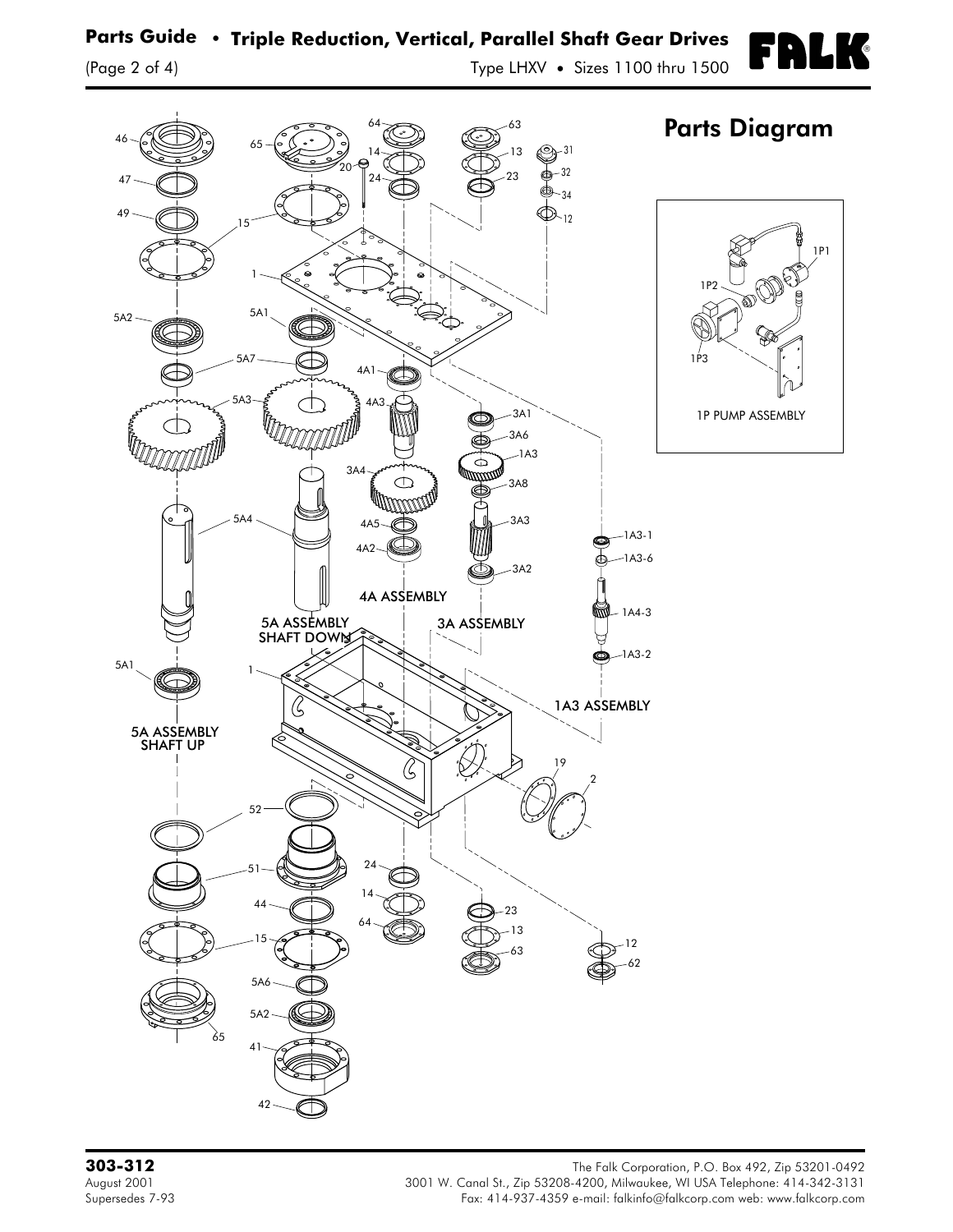<span id="page-1-0"></span>

3A8

1A3

3A3

3A2

3A ASSEMBLY

¢

Œ

23 13

24 14 64

3A4

4A5 4A2

4A ASSEMBLY

 $\bigcirc$ 

**TITUWATA** 

63 ( $\bigoplus^{-12}$ 

19

65

5A4

1

5A1

5A ASSEMBLY SHAFT UP

5A ASSEMBLY SHAFT DOWN

52

51

44

15

5A6

5A2

41

42

**303-312** The Falk Corporation, P.O. Box 492, Zip 53201-0492 August 2001 3001 W. Canal St., Zip 53208-4200, Milwaukee, WI USA Telephone: 414-342-3131 Fax: 414-937-4359 e-mail: falkinfo@falkcorp.com web: www.falkcorp.com

62

 $-1A3-2$ 

1A3 ASSEMBLY

2

 $-1A4-3$ 

 $-1A3-1$ 

1A3-6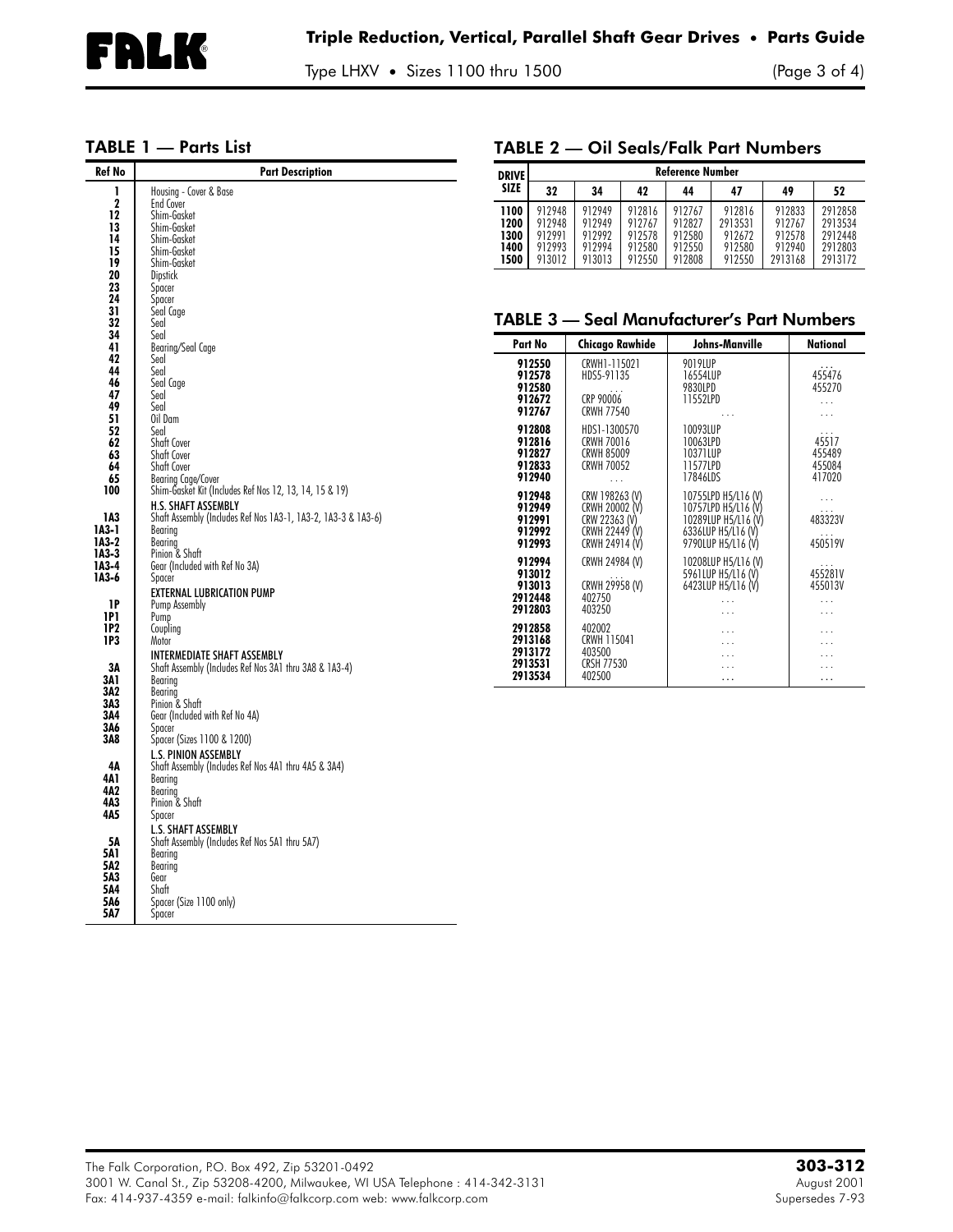Type LHXV • Sizes 1100 thru 1500 (Page 3 of 4)

## <span id="page-2-1"></span>TABLE 1 — Parts List

<span id="page-2-0"></span>

| <b>Ref No</b> | <b>Part Description</b>                                       | <b>Reference Number</b><br><b>DRIVE</b> |                    |                                   |                  |                      |                                            |                   |                                                   |
|---------------|---------------------------------------------------------------|-----------------------------------------|--------------------|-----------------------------------|------------------|----------------------|--------------------------------------------|-------------------|---------------------------------------------------|
|               | Housing - Cover & Base                                        | SIZE                                    | 32                 | 34                                | 42               | 44                   | 47                                         | 49                | 52                                                |
| $\mathbf 2$   | End Cover                                                     |                                         |                    |                                   |                  |                      |                                            |                   |                                                   |
| 12            | Shim-Gasket                                                   | 1100                                    | 912948             | 912949                            | 912816           | 912767               | 912816                                     | 912833            | 2912858                                           |
| 13            | Shim-Gasket                                                   | 1200                                    | 912948             | 912949                            | 912767           | 912827               | 2913531                                    | 912767            | 2913534                                           |
| 14            | Shim-Gasket                                                   | 1300                                    | 912991<br>912993   | 912992<br>912994                  | 912578           | 912580               | 912672<br>912580                           | 912578            | 2912448                                           |
| 15            | Shim-Gasket                                                   | 1400<br>1500                            | 913012             | 913013                            | 912580<br>912550 | 912550<br>912808     | 912550                                     | 912940<br>2913168 | 2912803<br>2913172                                |
| 19            | Shim-Gasket                                                   |                                         |                    |                                   |                  |                      |                                            |                   |                                                   |
| 20            | <b>Dipstick</b>                                               |                                         |                    |                                   |                  |                      |                                            |                   |                                                   |
| 23            | Spacer                                                        |                                         |                    |                                   |                  |                      |                                            |                   |                                                   |
| 24<br>31      | Spacer                                                        |                                         |                    |                                   |                  |                      |                                            |                   |                                                   |
| 32            | Seal Cage<br>Seal                                             |                                         |                    |                                   |                  |                      |                                            |                   | <b>TABLE 3 - Seal Manufacturer's Part Numbers</b> |
| 34            | Seal                                                          |                                         |                    |                                   |                  |                      |                                            |                   |                                                   |
| 41            | Bearing/Seal Cage                                             |                                         | Part No            | <b>Chicago Rawhide</b>            |                  |                      | Johns-Manville                             |                   | National                                          |
| 42            | Seal                                                          |                                         | 912550             | CRWH1-115021                      |                  | 9019LUP              |                                            |                   |                                                   |
| 44            | Seal                                                          |                                         | 912578             | HDS5-91135                        |                  | 16554LUP             |                                            |                   | 455476                                            |
| 46            | Seal Cage                                                     |                                         | 912580             |                                   |                  | 9830LPD              |                                            |                   | 455270                                            |
| 47            | Seal                                                          |                                         | 912672             | CRP 90006                         |                  | 11552LPD             |                                            |                   | $\ldots$                                          |
| 49            | Seal                                                          |                                         | 912767             | <b>CRWH 77540</b>                 |                  |                      |                                            |                   | $\ldots$                                          |
| 51            | Oil Dam                                                       |                                         | 912808             |                                   |                  |                      |                                            |                   |                                                   |
| 52            | Seal                                                          |                                         | 912816             | HDS1-1300570<br><b>CRWH 70016</b> |                  | 10093LUP<br>10063LPD |                                            |                   | 45517                                             |
| 62<br>63      | Shaft Cover<br>Shaft Cover                                    |                                         | 912827             | <b>CRWH 85009</b>                 |                  | 10371LUP             |                                            |                   | 455489                                            |
| 64            | Shaft Cover                                                   |                                         | 912833             | <b>CRWH 70052</b>                 |                  | 11577LPD             |                                            |                   | 455084                                            |
| 65            | Bearing Cage/Cover                                            |                                         | 912940             | $\cdots$                          |                  | 17846LDS             |                                            |                   | 417020                                            |
| 100           | Shim-Gasket Kit (Includes Ref Nos 12, 13, 14, 15 & 19)        |                                         |                    |                                   |                  |                      |                                            |                   |                                                   |
|               | <b>H.S. SHAFT ASSEMBLY</b>                                    |                                         | 912948             | CRW 198263 (V)                    |                  |                      | 10755LPD H5/L16 (V)                        |                   | $\ldots$                                          |
| 1A3           | Shaft Assembly (Includes Ref Nos 1A3-1, 1A3-2, 1A3-3 & 1A3-6) |                                         | 912949<br>912991   | CRWH 20002 (V)                    |                  |                      | 10757LPD H5/L16 (V)<br>10289LUP H5/L16 (V) |                   | 483323V                                           |
| $IA3-1$       | Bearing                                                       |                                         | 912992             | CRW 22363 (V)<br>CRWH 22449 (V)   |                  |                      | 6336LUP H5/L16 (V)                         |                   |                                                   |
| $IA3-2$       | Bearing                                                       |                                         | 912993             | CRWH 24914 (V)                    |                  |                      | 9790LUP H5/L16 (V)                         |                   | 450519V                                           |
| 1A3-3         | Pinion & Shaft                                                |                                         |                    |                                   |                  |                      |                                            |                   |                                                   |
| 1A3-4         | Gear (Included with Ref No 3A)                                |                                         | 912994             | CRWH 24984 (V)                    |                  |                      | 10208LUP H5/L16 (V)                        |                   |                                                   |
| 1A3-6         | Spacer                                                        |                                         | 913012             |                                   |                  |                      | 5961LUP H5/L16 (V)                         |                   | 455281V                                           |
|               | <b>EXTERNAL LUBRICATION PUMP</b>                              |                                         | 913013<br>2912448  | CRWH 29958 (V)<br>402750          |                  |                      | 6423LUP H5/L16 (V)                         |                   | 455013V                                           |
| 1P            | Pump Assembly                                                 |                                         | 2912803            | 403250                            |                  |                      | .                                          |                   | $\cdots$                                          |
| <b>1P1</b>    | Pump                                                          |                                         |                    |                                   |                  |                      | .                                          |                   | $\ldots$                                          |
| 1P2           | Coupling                                                      |                                         | 2912858            | 402002                            |                  |                      | $\ddotsc$                                  |                   | $\cdots$                                          |
| 1P3           | Motor                                                         |                                         | 2913168            | CRWH 115041                       |                  |                      | .                                          |                   | $\cdots$                                          |
|               | <b>INTERMEDIATE SHAFT ASSEMBLY</b>                            |                                         | 2913172<br>2913531 | 403500<br><b>CRSH 77530</b>       |                  |                      | .                                          |                   | $\cdots$                                          |
| 3Α            | Shaft Assembly (Includes Ref Nos 3A1 thru 3A8 & 1A3-4)        |                                         | 2913534            | 402500                            |                  |                      | .                                          |                   | $\cdots$<br>$\cdots$                              |
| 3A 1<br>3Λ2   | Bearing                                                       |                                         |                    |                                   |                  |                      | $\ldots$                                   |                   |                                                   |
| 3A3           | Bearing<br>Pinion & Shaft                                     |                                         |                    |                                   |                  |                      |                                            |                   |                                                   |
| 3Λ4           | Gear (Included with Ref No 4A)                                |                                         |                    |                                   |                  |                      |                                            |                   |                                                   |
| 3Α6           | Spacer                                                        |                                         |                    |                                   |                  |                      |                                            |                   |                                                   |
| 3A8           | Spacer (Sizes 1100 & 1200)                                    |                                         |                    |                                   |                  |                      |                                            |                   |                                                   |
|               | <b>L.S. PINION ASSEMBLY</b>                                   |                                         |                    |                                   |                  |                      |                                            |                   |                                                   |
| 4Α            | Shaft Assembly (Includes Ref Nos 4A1 thru 4A5 & 3A4)          |                                         |                    |                                   |                  |                      |                                            |                   |                                                   |
| 4A 1          | Bearing                                                       |                                         |                    |                                   |                  |                      |                                            |                   |                                                   |
| 4Λ2           | Bearing                                                       |                                         |                    |                                   |                  |                      |                                            |                   |                                                   |
| 4A3           | Pinion & Shaft                                                |                                         |                    |                                   |                  |                      |                                            |                   |                                                   |
| 4A5           | Spacer                                                        |                                         |                    |                                   |                  |                      |                                            |                   |                                                   |
|               | L.S. SHAFT ASSEMBLY                                           |                                         |                    |                                   |                  |                      |                                            |                   |                                                   |
| 5Α            | Shaft Assembly (Includes Ref Nos 5A1 thru 5A7)                |                                         |                    |                                   |                  |                      |                                            |                   |                                                   |
| 5A1           | Bearina                                                       |                                         |                    |                                   |                  |                      |                                            |                   |                                                   |
| 5A2           | Bearing                                                       |                                         |                    |                                   |                  |                      |                                            |                   |                                                   |
| 5A3           | Gear                                                          |                                         |                    |                                   |                  |                      |                                            |                   |                                                   |
| 5Λ4<br>5A6    | Shaft                                                         |                                         |                    |                                   |                  |                      |                                            |                   |                                                   |
| 5A7           | Spacer (Size 1100 only)<br>Spacer                             |                                         |                    |                                   |                  |                      |                                            |                   |                                                   |
|               |                                                               |                                         |                    |                                   |                  |                      |                                            |                   |                                                   |